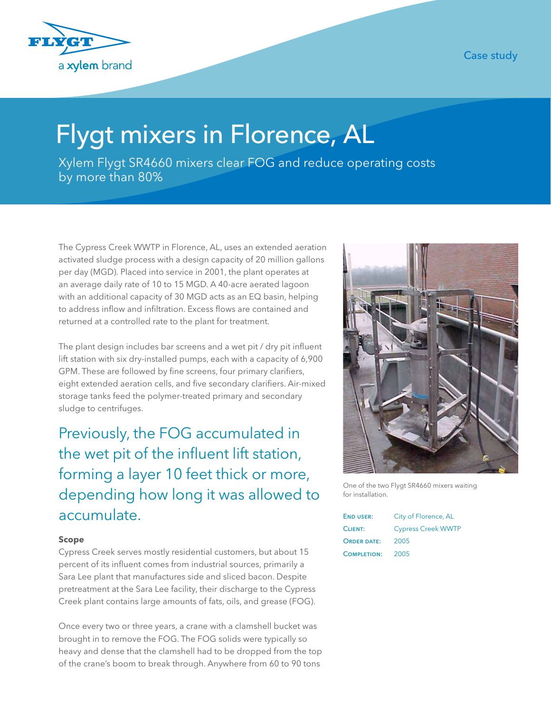Case study



## Flygt mixers in Florence, AL

Xylem Flygt SR4660 mixers clear FOG and reduce operating costs by more than 80%

The Cypress Creek WWTP in Florence, AL, uses an extended aeration activated sludge process with a design capacity of 20 million gallons per day (MGD). Placed into service in 2001, the plant operates at an average daily rate of 10 to 15 MGD. A 40-acre aerated lagoon with an additional capacity of 30 MGD acts as an EQ basin, helping to address inflow and infiltration. Excess flows are contained and returned at a controlled rate to the plant for treatment.

The plant design includes bar screens and a wet pit / dry pit influent lift station with six dry-installed pumps, each with a capacity of 6,900 GPM. These are followed by fine screens, four primary clarifiers, eight extended aeration cells, and five secondary clarifiers. Air-mixed storage tanks feed the polymer-treated primary and secondary sludge to centrifuges.

Previously, the FOG accumulated in the wet pit of the influent lift station, forming a layer 10 feet thick or more, depending how long it was allowed to accumulate.

## **Scope**

Cypress Creek serves mostly residential customers, but about 15 percent of its influent comes from industrial sources, primarily a Sara Lee plant that manufactures side and sliced bacon. Despite pretreatment at the Sara Lee facility, their discharge to the Cypress Creek plant contains large amounts of fats, oils, and grease (FOG).

Once every two or three years, a crane with a clamshell bucket was brought in to remove the FOG. The FOG solids were typically so heavy and dense that the clamshell had to be dropped from the top of the crane's boom to break through. Anywhere from 60 to 90 tons



One of the two Flygt SR4660 mixers waiting for installation.

| <b>END USER:</b>   | City of Florence, AL      |
|--------------------|---------------------------|
| CLIENT:            | <b>Cypress Creek WWTP</b> |
| ORDER DATE:        | 2005                      |
| <b>COMPLETION:</b> | 2005                      |